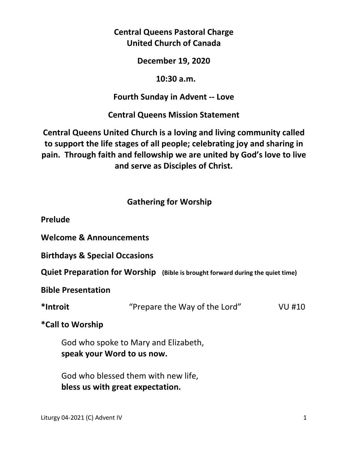## **Central Queens Pastoral Charge United Church of Canada**

#### **December 19, 2020**

#### **10:30 a.m.**

#### **Fourth Sunday in Advent -- Love**

**Central Queens Mission Statement** 

**Central Queens United Church is a loving and living community called to support the life stages of all people; celebrating joy and sharing in pain. Through faith and fellowship we are united by God's love to live and serve as Disciples of Christ.**

## **Gathering for Worship**

**Prelude** 

**Welcome & Announcements** 

**Birthdays & Special Occasions** 

**Quiet Preparation for Worship (Bible is brought forward during the quiet time)** 

**Bible Presentation** 

**\*Introit** "Prepare the Way of the Lord" VU #10

**\*Call to Worship** 

 God who spoke to Mary and Elizabeth,  **speak your Word to us now.** 

 God who blessed them with new life,  **bless us with great expectation.**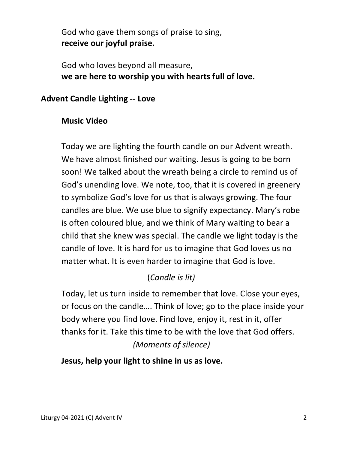God who gave them songs of praise to sing,  **receive our joyful praise.** 

 God who loves beyond all measure,  **we are here to worship you with hearts full of love.**

### **Advent Candle Lighting -- Love**

## **Music Video**

 Today we are lighting the fourth candle on our Advent wreath. We have almost finished our waiting. Jesus is going to be born soon! We talked about the wreath being a circle to remind us of God's unending love. We note, too, that it is covered in greenery to symbolize God's love for us that is always growing. The four candles are blue. We use blue to signify expectancy. Mary's robe is often coloured blue, and we think of Mary waiting to bear a child that she knew was special. The candle we light today is the candle of love. It is hard for us to imagine that God loves us no matter what. It is even harder to imagine that God is love.

# (*Candle is lit)*

 Today, let us turn inside to remember that love. Close your eyes, or focus on the candle…. Think of love; go to the place inside your body where you find love. Find love, enjoy it, rest in it, offer thanks for it. Take this time to be with the love that God offers. *(Moments of silence)* 

## **Jesus, help your light to shine in us as love.**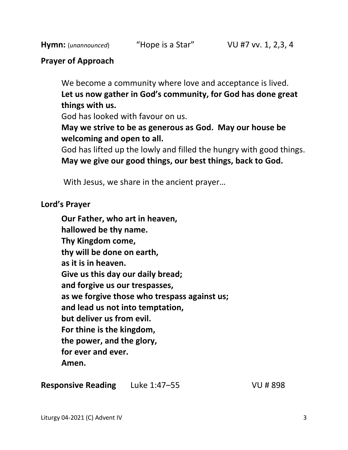#### **Prayer of Approach**

 We become a community where love and acceptance is lived.  **Let us now gather in God's community, for God has done great things with us.** 

God has looked with favour on us.

 **May we strive to be as generous as God. May our house be welcoming and open to all.** 

 God has lifted up the lowly and filled the hungry with good things.  **May we give our good things, our best things, back to God.** 

With Jesus, we share in the ancient prayer…

#### **Lord's Prayer**

**Our Father, who art in heaven, hallowed be thy name. Thy Kingdom come, thy will be done on earth, as it is in heaven. Give us this day our daily bread; and forgive us our trespasses, as we forgive those who trespass against us; and lead us not into temptation, but deliver us from evil. For thine is the kingdom, the power, and the glory, for ever and ever. Amen.** 

**Responsive Reading** Luke 1:47-55 VU # 898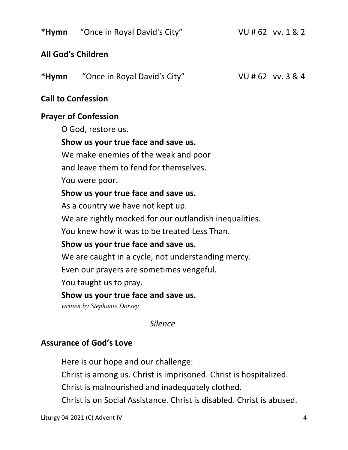**\*Hymn** "Once in Royal David's City" VU # 62vv. 1 & 2

### **All God's Children**

| *Hymn | "Once in Royal David's City" | VU#62 vv. 3 & 4 |
|-------|------------------------------|-----------------|
|       |                              |                 |

## **Call to Confession**

### **Prayer of Confession**

O God, restore us.

#### **Show us your true face and save us.**

We make enemies of the weak and poor

and leave them to fend for themselves.

You were poor.

### **Show us your true face and save us.**

As a country we have not kept up.

We are rightly mocked for our outlandish inequalities.

You knew how it was to be treated Less Than.

## **Show us your true face and save us.**

We are caught in a cycle, not understanding mercy.

Even our prayers are sometimes vengeful.

You taught us to pray.

#### **Show us your true face and save us.**

*written by Stephanie Dorsey* 

#### *Silence*

## **Assurance of God's Love**

Here is our hope and our challenge:

Christ is among us. Christ is imprisoned. Christ is hospitalized.

Christ is malnourished and inadequately clothed.

Christ is on Social Assistance. Christ is disabled. Christ is abused.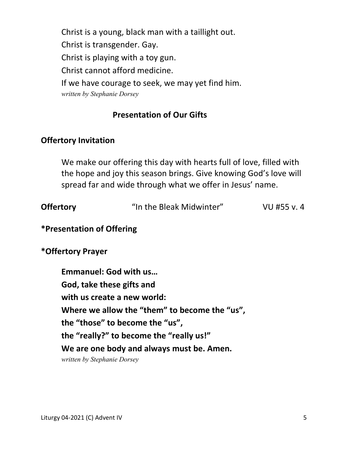Christ is a young, black man with a taillight out. Christ is transgender. Gay. Christ is playing with a toy gun. Christ cannot afford medicine. If we have courage to seek, we may yet find him. *written by Stephanie Dorsey* 

### **Presentation of Our Gifts**

#### **Offertory Invitation**

 We make our offering this day with hearts full of love, filled with the hope and joy this season brings. Give knowing God's love will spread far and wide through what we offer in Jesus' name.

| <b>Offertory</b> | "In the Bleak Midwinter" | VU #55 v. 4 |
|------------------|--------------------------|-------------|
|                  |                          |             |

**\*Presentation of Offering** 

**\*Offertory Prayer** 

 **Emmanuel: God with us… God, take these gifts and with us create a new world: Where we allow the "them" to become the "us", the "those" to become the "us", the "really?" to become the "really us!" We are one body and always must be. Amen.**  *written by Stephanie Dorsey*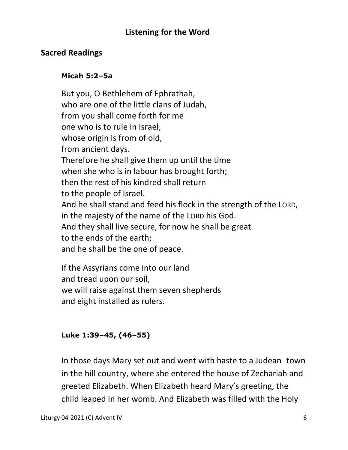## **Sacred Readings**

#### **Micah 5:2–5***a*

But you, O Bethlehem of Ephrathah, who are one of the little clans of Judah, from you shall come forth for me one who is to rule in Israel, whose origin is from of old, from ancient days. Therefore he shall give them up until the time when she who is in labour has brought forth; then the rest of his kindred shall return to the people of Israel. And he shall stand and feed his flock in the strength of the LORD, in the majesty of the name of the LORD his God. And they shall live secure, for now he shall be great to the ends of the earth; and he shall be the one of peace.

If the Assyrians come into our land and tread upon our soil, we will raise against them seven shepherds and eight installed as rulers.

#### **Luke 1:39–45, (46–55)**

In those days Mary set out and went with haste to a Judean town in the hill country, where she entered the house of Zechariah and greeted Elizabeth. When Elizabeth heard Mary's greeting, the child leaped in her womb. And Elizabeth was filled with the Holy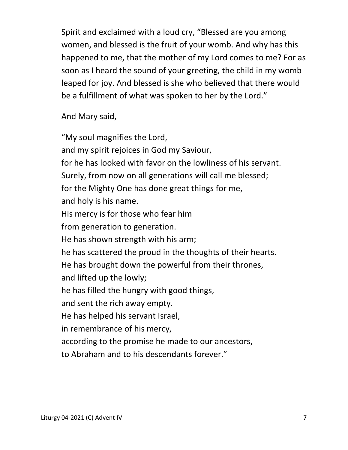Spirit and exclaimed with a loud cry, "Blessed are you among women, and blessed is the fruit of your womb. And why has this happened to me, that the mother of my Lord comes to me? For as soon as I heard the sound of your greeting, the child in my womb leaped for joy. And blessed is she who believed that there would be a fulfillment of what was spoken to her by the Lord."

And Mary said,

 "My soul magnifies the Lord, and my spirit rejoices in God my Saviour, for he has looked with favor on the lowliness of his servant. Surely, from now on all generations will call me blessed; for the Mighty One has done great things for me, and holy is his name. His mercy is for those who fear him from generation to generation. He has shown strength with his arm; he has scattered the proud in the thoughts of their hearts. He has brought down the powerful from their thrones, and lifted up the lowly; he has filled the hungry with good things, and sent the rich away empty. He has helped his servant Israel, in remembrance of his mercy, according to the promise he made to our ancestors, to Abraham and to his descendants forever."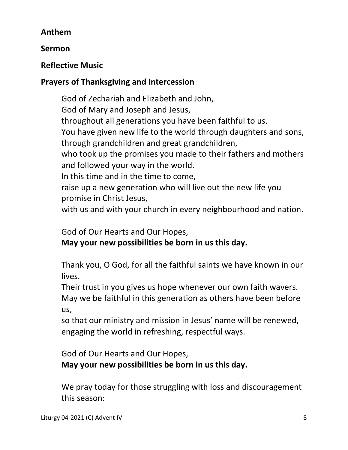## **Anthem**

## **Sermon**

## **Reflective Music**

## **Prayers of Thanksgiving and Intercession**

God of Zechariah and Elizabeth and John,

God of Mary and Joseph and Jesus,

throughout all generations you have been faithful to us.

 You have given new life to the world through daughters and sons, through grandchildren and great grandchildren,

 who took up the promises you made to their fathers and mothers and followed your way in the world.

In this time and in the time to come,

 raise up a new generation who will live out the new life you promise in Christ Jesus,

with us and with your church in every neighbourhood and nation.

God of Our Hearts and Our Hopes,

 **May your new possibilities be born in us this day.** 

 Thank you, O God, for all the faithful saints we have known in our lives.

 Their trust in you gives us hope whenever our own faith wavers. May we be faithful in this generation as others have been before us,

 so that our ministry and mission in Jesus' name will be renewed, engaging the world in refreshing, respectful ways.

God of Our Hearts and Our Hopes,

 **May your new possibilities be born in us this day.** 

 We pray today for those struggling with loss and discouragement this season: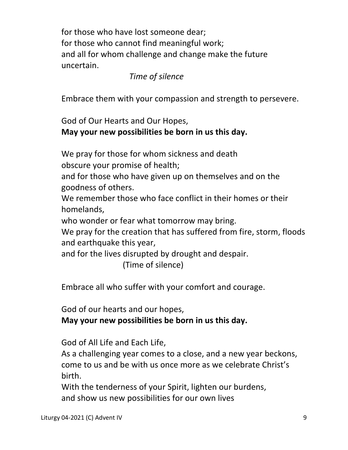for those who have lost someone dear; for those who cannot find meaningful work; and all for whom challenge and change make the future uncertain.

### *Time of silence*

Embrace them with your compassion and strength to persevere.

God of Our Hearts and Our Hopes,

 **May your new possibilities be born in us this day.** 

We pray for those for whom sickness and death

obscure your promise of health;

 and for those who have given up on themselves and on the goodness of others.

 We remember those who face conflict in their homes or their homelands,

who wonder or fear what tomorrow may bring.

 We pray for the creation that has suffered from fire, storm, floods and earthquake this year,

and for the lives disrupted by drought and despair.

(Time of silence)

Embrace all who suffer with your comfort and courage.

God of our hearts and our hopes,

 **May your new possibilities be born in us this day.** 

God of All Life and Each Life,

 As a challenging year comes to a close, and a new year beckons, come to us and be with us once more as we celebrate Christ's birth.

 With the tenderness of your Spirit, lighten our burdens, and show us new possibilities for our own lives